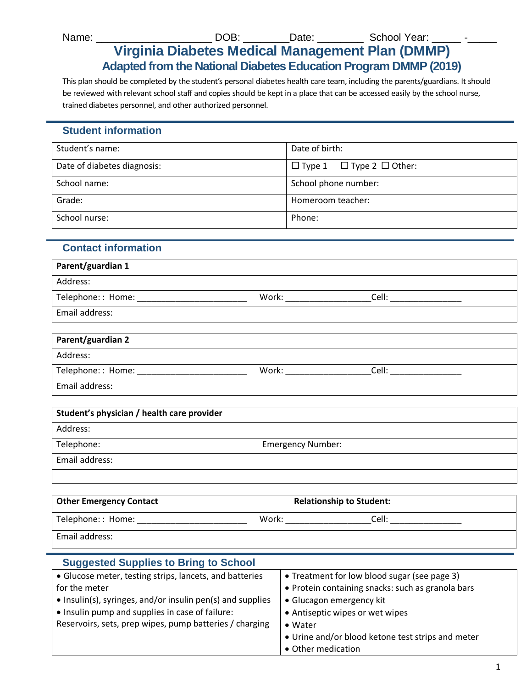Name: \_\_\_\_\_\_\_\_\_\_\_\_\_\_\_\_\_\_\_\_\_\_\_\_\_\_\_\_DOB: \_\_\_\_\_\_\_\_\_\_\_Date: \_\_\_\_\_\_\_\_\_\_\_ School Year: \_

# **Virginia Diabetes Medical Management Plan (DMMP) Adapted from the National Diabetes Education Program DMMP (2019)**

This plan should be completed by the student's personal diabetes health care team, including the parents/guardians. It should be reviewed with relevant school staff and copies should be kept in a place that can be accessed easily by the school nurse, trained diabetes personnel, and other authorized personnel.

# **Student information**

| Student's name:             | Date of birth:                            |
|-----------------------------|-------------------------------------------|
| Date of diabetes diagnosis: | $\Box$ Type 1 $\Box$ Type 2 $\Box$ Other: |
| School name:                | School phone number:                      |
| Grade:                      | Homeroom teacher:                         |
| School nurse:               | Phone:                                    |

# **Contact information**

| Parent/guardian 1 |       |       |  |
|-------------------|-------|-------|--|
| Address:          |       |       |  |
| Telephone:: Home: | Work: | Cell: |  |
| Email address:    |       |       |  |
|                   |       |       |  |

| Parent/guardian 2  |       |       |
|--------------------|-------|-------|
| Address:           |       |       |
| Telephone: : Home: | Work: | Cell: |
| Email address:     |       |       |

| Student's physician / health care provider |                          |  |
|--------------------------------------------|--------------------------|--|
| Address:                                   |                          |  |
| Telephone:                                 | <b>Emergency Number:</b> |  |
| Email address:                             |                          |  |
|                                            |                          |  |

| <b>Other Emergency Contact</b> | <b>Relationship to Student:</b> |       |  |
|--------------------------------|---------------------------------|-------|--|
| Telephone:: Home:              | Work:                           | Cell: |  |
| Email address:                 |                                 |       |  |

#### **Suggested Supplies to Bring to School** Glucose meter, testing strips, lancets, and batteries for the meter • Insulin(s), syringes, and/or insulin pen(s) and supplies • Insulin pump and supplies in case of failure: Reservoirs, sets, prep wipes, pump batteries / charging • Treatment for low blood sugar (see page 3) Protein containing snacks: such as granola bars Glucagon emergency kit Antiseptic wipes or wet wipes Water Urine and/or blood ketone test strips and meter Other medication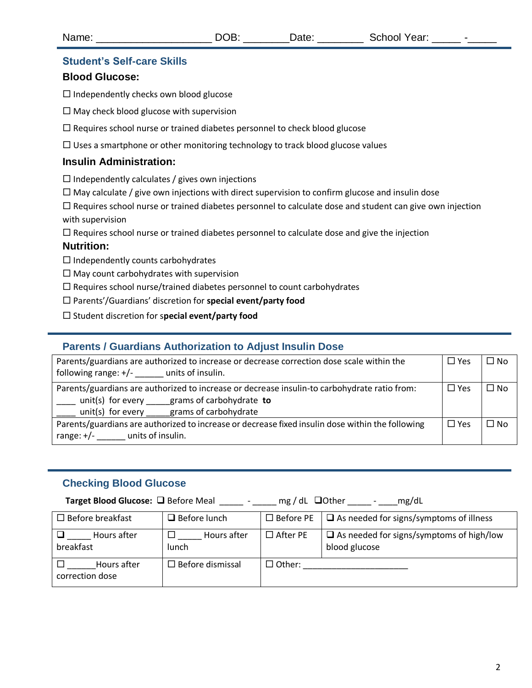#### **Student's Self-care Skills**

#### **Blood Glucose:**

 $\Box$  Independently checks own blood glucose

- $\square$  May check blood glucose with supervision
- $\Box$  Requires school nurse or trained diabetes personnel to check blood glucose

 $\Box$  Uses a smartphone or other monitoring technology to track blood glucose values

### **Insulin Administration:**

 $\square$  Independently calculates / gives own injections

 $\Box$  May calculate / give own injections with direct supervision to confirm glucose and insulin dose

 $\Box$  Requires school nurse or trained diabetes personnel to calculate dose and student can give own injection with supervision

 $\Box$  Requires school nurse or trained diabetes personnel to calculate dose and give the injection

#### **Nutrition:**

 $\Box$  Independently counts carbohydrates

 $\square$  May count carbohydrates with supervision

 $\Box$  Requires school nurse/trained diabetes personnel to count carbohydrates

Parents'/Guardians' discretion for **special event/party food** 

Student discretion for s**pecial event/party food**

### **Parents / Guardians Authorization to Adjust Insulin Dose**

| Parents/guardians are authorized to increase or decrease correction dose scale within the<br>following range: $+/-$ units of insulin.                                                 | $\square$ Yes | $\square$ No |
|---------------------------------------------------------------------------------------------------------------------------------------------------------------------------------------|---------------|--------------|
| Parents/guardians are authorized to increase or decrease insulin-to carbohydrate ratio from:<br>unit(s) for every grams of carbohydrate to<br>unit(s) for every grams of carbohydrate | $\Box$ Yes    | $\Box$ No    |
| Parents/guardians are authorized to increase or decrease fixed insulin dose within the following<br>range: $+/-$ units of insulin.                                                    | $\square$ Yes | $\Box$ No    |

### **Checking Blood Glucose**

**Target Blood Glucose:** Before Meal \_\_\_\_\_- \_\_\_\_\_ mg / dL Other \_\_\_\_\_ - \_\_\_\_mg/dL

| $\Box$ Before breakfast        | $\Box$ Before lunch        | $\Box$ Before PE               | $\Box$ As needed for signs/symptoms of illness                   |
|--------------------------------|----------------------------|--------------------------------|------------------------------------------------------------------|
| Hours after<br>breakfast       | Hours after<br>lunch       | $\Box$ After PE                | $\Box$ As needed for signs/symptoms of high/low<br>blood glucose |
| Hours after<br>correction dose | $\square$ Before dismissal | $\sqsupset$ Other: $\sqsubset$ |                                                                  |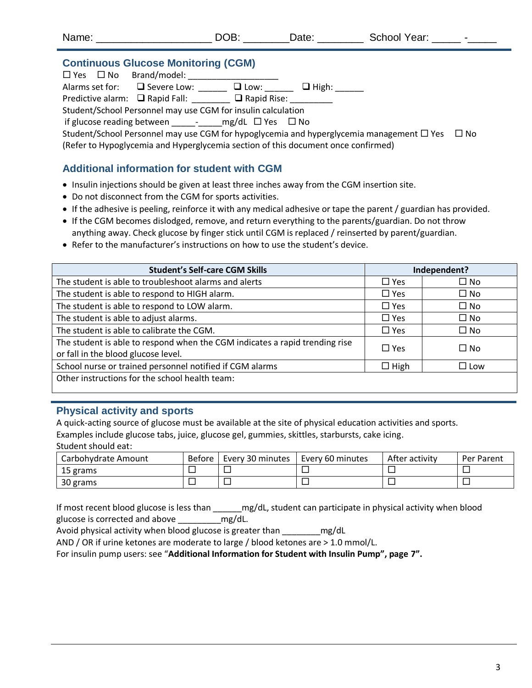| $\sim$ $\sim$<br>Name:<br>School<br>., Year:<br>-+-<br>м<br>$-$ |  |
|-----------------------------------------------------------------|--|
|-----------------------------------------------------------------|--|

### **Continuous Glucose Monitoring (CGM)**

 Yes No Brand/model: \_\_\_\_\_\_\_\_\_\_\_\_\_\_\_\_\_\_\_ Alarms set for:  $\Box$  Severe Low: \_\_\_\_\_\_  $\Box$  Low: \_\_\_\_\_\_  $\Box$  High: \_\_\_\_\_\_ Predictive alarm:  $\Box$  Rapid Fall:  $\Box$  Rapid Rise: Student/School Personnel may use CGM for insulin calculation if glucose reading between \_\_\_\_\_-\_\_\_\_\_mg/dL Yes No

Student/School Personnel may use CGM for hypoglycemia and hyperglycemia management  $\Box$  Yes  $\Box$  No (Refer to Hypoglycemia and Hyperglycemia section of this document once confirmed)

# **Additional information for student with CGM**

- Insulin injections should be given at least three inches away from the CGM insertion site.
- Do not disconnect from the CGM for sports activities.
- If the adhesive is peeling, reinforce it with any medical adhesive or tape the parent / guardian has provided.
- If the CGM becomes dislodged, remove, and return everything to the parents/guardian. Do not throw anything away. Check glucose by finger stick until CGM is replaced / reinserted by parent/guardian.
- Refer to the manufacturer's instructions on how to use the student's device.

| <b>Student's Self-care CGM Skills</b>                                                                              |               | Independent?  |
|--------------------------------------------------------------------------------------------------------------------|---------------|---------------|
| The student is able to troubleshoot alarms and alerts                                                              | $\square$ Yes | $\square$ No  |
| The student is able to respond to HIGH alarm.                                                                      | $\square$ Yes | $\square$ No  |
| The student is able to respond to LOW alarm.                                                                       | $\square$ Yes | $\square$ No  |
| The student is able to adjust alarms.                                                                              | $\square$ Yes | $\square$ No  |
| The student is able to calibrate the CGM.                                                                          | $\square$ Yes | $\square$ No  |
| The student is able to respond when the CGM indicates a rapid trending rise<br>or fall in the blood glucose level. | $\square$ Yes | $\square$ No  |
| School nurse or trained personnel notified if CGM alarms                                                           | $\Box$ High   | $\square$ Low |
| Other instructions for the school health team:                                                                     |               |               |

## **Physical activity and sports**

A quick-acting source of glucose must be available at the site of physical education activities and sports. Examples include glucose tabs, juice, glucose gel, gummies, skittles, starbursts, cake icing. Student should eat:

| Carbohydrate Amount | Before | Every 30 minutes | Every 60 minutes | After activity | Per Parent |
|---------------------|--------|------------------|------------------|----------------|------------|
| 15 grams            |        |                  |                  |                |            |
| 30 grams            |        |                  | _                |                |            |

If most recent blood glucose is less than \_\_\_\_\_\_mg/dL, student can participate in physical activity when blood glucose is corrected and above \_\_\_\_\_\_\_\_\_mg/dL.

Avoid physical activity when blood glucose is greater than mg/dL

AND / OR if urine ketones are moderate to large / blood ketones are > 1.0 mmol/L.

For insulin pump users: see "**Additional Information for Student with Insulin Pump", page 7".**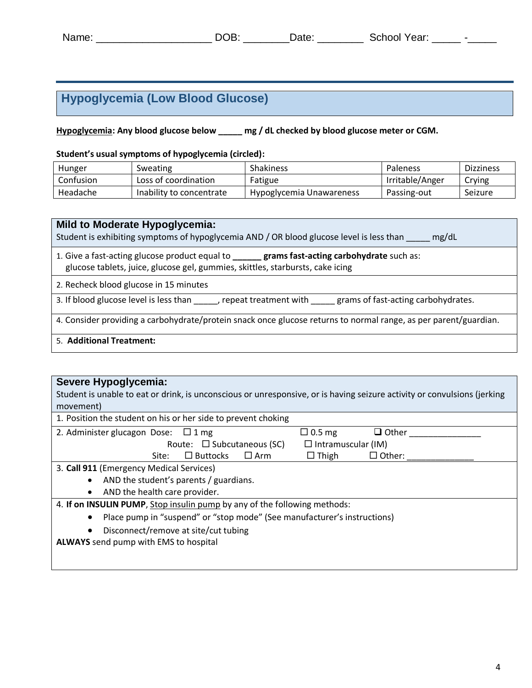# **Hypoglycemia (Low Blood Glucose)**

**Hypoglycemia: Any blood glucose below \_\_\_\_\_ mg / dL checked by blood glucose meter or CGM.** 

**Student's usual symptoms of hypoglycemia (circled):**

| Hunger    | Sweating                 | <b>Shakiness</b>         | Paleness        | <b>Dizziness</b> |
|-----------|--------------------------|--------------------------|-----------------|------------------|
| Confusion | Loss of coordination     | Fatigue                  | Irritable/Anger | Crying           |
| Headache  | Inability to concentrate | Hypoglycemia Unawareness | Passing-out     | Seizure          |

| <b>Mild to Moderate Hypoglycemia:</b><br>Student is exhibiting symptoms of hypoglycemia AND / OR blood glucose level is less than<br>mg/dL                                              |
|-----------------------------------------------------------------------------------------------------------------------------------------------------------------------------------------|
| 1. Give a fast-acting glucose product equal to <b>_______ grams fast-acting carbohydrate</b> such as:<br>glucose tablets, juice, glucose gel, gummies, skittles, starbursts, cake icing |
| 2. Recheck blood glucose in 15 minutes                                                                                                                                                  |
| 3. If blood glucose level is less than free peat treatment with<br>grams of fast-acting carbohydrates.                                                                                  |
| 4. Consider providing a carbohydrate/protein snack once glucose returns to normal range, as per parent/guardian.                                                                        |
| 5. Additional Treatment:                                                                                                                                                                |

### **Severe Hypoglycemia:**

Student is unable to eat or drink, is unconscious or unresponsive, or is having seizure activity or convulsions (jerking movement)

| 1. Position the student on his or her side to prevent choking                         |                               |
|---------------------------------------------------------------------------------------|-------------------------------|
| 2. Administer glucagon Dose: $\Box$ 1 mg                                              | $\Box$ 0.5 mg<br>$\Box$ Other |
| Route: $\square$ Subcutaneous (SC)                                                    | $\Box$ Intramuscular (IM)     |
| $\Box$ Buttocks<br>$\Box$ Arm<br>Site:                                                | $\Box$ Thigh<br>$\Box$ Other: |
| 3. Call 911 (Emergency Medical Services)                                              |                               |
| AND the student's parents / guardians.<br>$\bullet$                                   |                               |
| AND the health care provider.<br>$\bullet$                                            |                               |
| 4. If on INSULIN PUMP, Stop insulin pump by any of the following methods:             |                               |
| Place pump in "suspend" or "stop mode" (See manufacturer's instructions)<br>$\bullet$ |                               |
| Disconnect/remove at site/cut tubing<br>٠                                             |                               |
| <b>ALWAYS</b> send pump with EMS to hospital                                          |                               |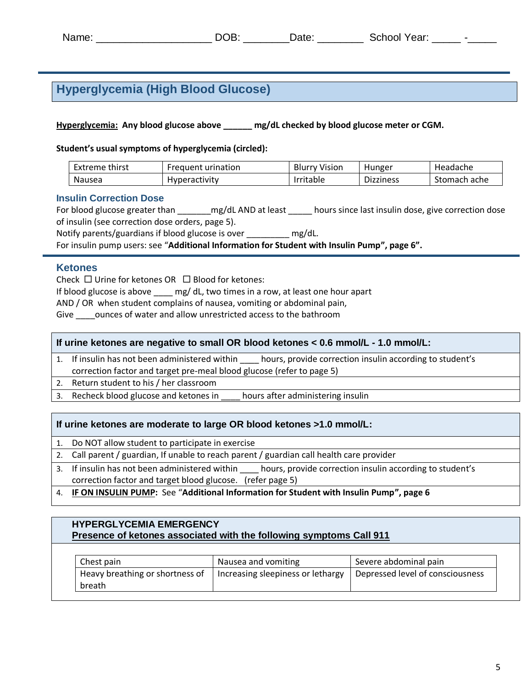# **Hyperglycemia (High Blood Glucose)**

#### **Hyperglycemia: Any blood glucose above \_\_\_\_\_\_ mg/dL checked by blood glucose meter or CGM.**

**Student's usual symptoms of hyperglycemia (circled):**

| thirst<br>-xtreme | urination<br>Freauent | Vision<br>Blurry | Hunger    | Headache     |
|-------------------|-----------------------|------------------|-----------|--------------|
| Nausea            | <b>Hyperactivity</b>  | Irritable        | Dizziness | Stomach ache |

#### **Insulin Correction Dose**

For blood glucose greater than \_\_\_\_\_\_\_\_mg/dL AND at least \_\_\_\_\_\_ hours since last insulin dose, give correction dose of insulin (see correction dose orders, page 5).

Notify parents/guardians if blood glucose is over \_\_\_\_\_\_\_\_\_ mg/dL.

For insulin pump users: see "**Additional Information for Student with Insulin Pump", page 6".**

#### **Ketones**

Check  $\Box$  Urine for ketones OR  $\Box$  Blood for ketones:

If blood glucose is above \_\_\_\_ mg/ dL, two times in a row, at least one hour apart

AND / OR when student complains of nausea, vomiting or abdominal pain,

Give \_\_\_\_ounces of water and allow unrestricted access to the bathroom

#### **If urine ketones are negative to small OR blood ketones < 0.6 mmol/L - 1.0 mmol/L:**

- 1. If insulin has not been administered within \_\_\_\_ hours, provide correction insulin according to student's correction factor and target pre-meal blood glucose (refer to page 5)
- 2. Return student to his / her classroom
- 3. Recheck blood glucose and ketones in hours after administering insulin

#### **If urine ketones are moderate to large OR blood ketones >1.0 mmol/L:**

- 1. Do NOT allow student to participate in exercise
- 2. Call parent / guardian, If unable to reach parent / guardian call health care provider
- 3. If insulin has not been administered within \_\_\_\_ hours, provide correction insulin according to student's correction factor and target blood glucose. (refer page 5)
- 4. **IF ON INSULIN PUMP:** See "**Additional Information for Student with Insulin Pump", page 6**

#### **HYPERGLYCEMIA EMERGENCY Presence of ketones associated with the following symptoms Call 911**

| Chest pain                      | Nausea and vomiting               | Severe abdominal pain            |
|---------------------------------|-----------------------------------|----------------------------------|
| Heavy breathing or shortness of | Increasing sleepiness or lethargy | Depressed level of consciousness |
| breath                          |                                   |                                  |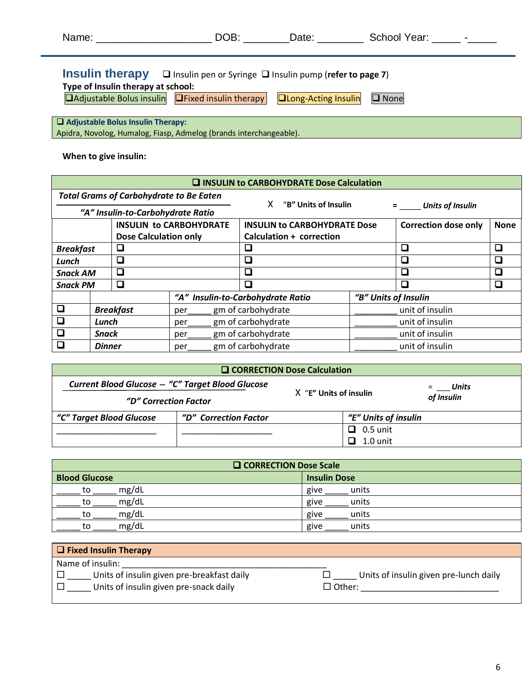| Name: _________________                                                                                                                                                               | DOB: | Date: _______                      | School Year: Fig. 2014 |  |
|---------------------------------------------------------------------------------------------------------------------------------------------------------------------------------------|------|------------------------------------|------------------------|--|
| <b>Insulin therapy</b> $\Box$ Insulin pen or Syringe $\Box$ Insulin pump (refer to page 7)<br>Type of Insulin therapy at school:<br>□Adjustable Bolus insulin □ Fixed insulin therapy |      | <b>QLong-Acting Insulin</b> Q None |                        |  |
| $\Box$ Adjustable Bolus Insulin Therapy:                                                                                                                                              |      |                                    |                        |  |

Apidra, Novolog, Humalog, Fiasp, Admelog (brands interchangeable).

### **When to give insulin:**

|                                                                                                                                                           | <b>Q INSULIN to CARBOHYDRATE Dose Calculation</b> |                                   |                           |                                   |                      |                         |  |
|-----------------------------------------------------------------------------------------------------------------------------------------------------------|---------------------------------------------------|-----------------------------------|---------------------------|-----------------------------------|----------------------|-------------------------|--|
|                                                                                                                                                           | <b>Total Grams of Carbohydrate to Be Eaten</b>    |                                   |                           |                                   |                      |                         |  |
|                                                                                                                                                           |                                                   | "A" Insulin-to-Carbohydrate Ratio |                           | "B" Units of Insulin              |                      | <b>Units of Insulin</b> |  |
| <b>INSULIN to CARBOHYDRATE</b><br><b>INSULIN to CARBOHYDRATE Dose</b><br><b>Correction dose only</b><br>Calculation + correction<br>Dose Calculation only |                                                   |                                   |                           | <b>None</b>                       |                      |                         |  |
| □<br>□<br><b>Breakfast</b>                                                                                                                                |                                                   |                                   |                           | □                                 | □                    |                         |  |
| □<br>Lunch                                                                                                                                                |                                                   | □                                 |                           | □                                 |                      |                         |  |
| <b>Snack AM</b>                                                                                                                                           |                                                   | □                                 |                           | □                                 |                      | $\Box$                  |  |
| <b>Snack PM</b>                                                                                                                                           |                                                   | □                                 |                           | ◻                                 |                      | □                       |  |
|                                                                                                                                                           |                                                   |                                   |                           | "A" Insulin-to-Carbohydrate Ratio | "B" Units of Insulin |                         |  |
| □                                                                                                                                                         |                                                   | <b>Breakfast</b>                  | per                       | gm of carbohydrate                |                      | unit of insulin         |  |
|                                                                                                                                                           | Lunch                                             |                                   | gm of carbohydrate<br>per |                                   |                      | unit of insulin         |  |
| $\Box$                                                                                                                                                    | <b>Snack</b>                                      |                                   | gm of carbohydrate<br>per |                                   |                      | unit of insulin         |  |
|                                                                                                                                                           | <b>Dinner</b>                                     |                                   | per                       | gm of carbohydrate                |                      | unit of insulin         |  |

| Q CORRECTION Dose Calculation                    |                       |                        |            |
|--------------------------------------------------|-----------------------|------------------------|------------|
| Current Blood Glucose - "C" Target Blood Glucose |                       | X "E" Units of insulin | Units      |
| "D" Correction Factor                            |                       |                        | of Insulin |
| "C" Target Blood Glucose                         | "D" Correction Factor | "E" Units of insulin   |            |
|                                                  |                       | $\Box$ 0.5 unit        |            |
|                                                  |                       | 1.0 unit               |            |

| <b>Q</b> CORRECTION Dose Scale |       |                     |  |
|--------------------------------|-------|---------------------|--|
| <b>Blood Glucose</b>           |       | <b>Insulin Dose</b> |  |
| to                             | mg/dL | units<br>give       |  |
| to                             | mg/dL | units<br>give       |  |
| tο                             | mg/dL | give<br>units       |  |
| tο                             | mg/dL | units<br>give       |  |

| $\Box$ Fixed Insulin Therapy               |                                        |
|--------------------------------------------|----------------------------------------|
| Name of insulin:                           |                                        |
| Units of insulin given pre-breakfast daily | Units of insulin given pre-lunch daily |
| Units of insulin given pre-snack daily     | $\sqsupset$ Other:                     |
|                                            |                                        |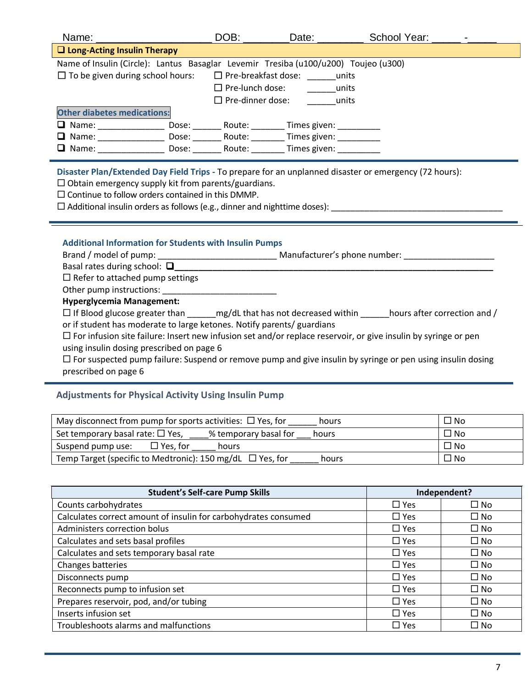| Name: _________                                                                     | DOB:                       | Date:                      | School Year: |  |
|-------------------------------------------------------------------------------------|----------------------------|----------------------------|--------------|--|
| $\Box$ Long-Acting Insulin Therapy                                                  |                            |                            |              |  |
| Name of Insulin (Circle): Lantus Basaglar Levemir Tresiba (u100/u200) Toujeo (u300) |                            |                            |              |  |
| $\Box$ To be given during school hours:                                             |                            | $\Box$ Pre-breakfast dose: | units        |  |
|                                                                                     | $\Box$ Pre-lunch dose:     |                            | units        |  |
|                                                                                     | $\square$ Pre-dinner dose: |                            | units        |  |
| <b>Other diabetes medications:</b>                                                  |                            |                            |              |  |
| $\Box$ Name:                                                                        | Route:<br>Dose:            | Times given:               |              |  |
| $\Box$ Name:                                                                        | Route:<br>Dose:            | Times given:               |              |  |
| $\Box$ Name:                                                                        | Route:<br>Dose:            | Times given:               |              |  |

**Disaster Plan/Extended Day Field Trips -** To prepare for an unplanned disaster or emergency (72 hours):

 $\square$  Obtain emergency supply kit from parents/guardians.

 $\square$  Continue to follow orders contained in this DMMP.

 $\square$  Additional insulin orders as follows (e.g., dinner and nighttime doses):  $\square$ 

#### **Additional Information for Students with Insulin Pumps**

Brand / model of pump: \_\_\_\_\_\_\_\_\_\_\_\_\_\_\_\_\_\_\_\_\_\_\_\_\_\_\_\_\_\_\_\_\_\_Manufacturer's phone number: \_\_\_\_\_\_\_\_\_\_\_\_\_\_\_\_\_\_\_\_\_\_\_

Basal rates during school: **\_\_\_\_\_\_\_\_\_\_\_\_\_\_\_\_\_\_\_\_\_\_\_\_\_\_\_\_\_\_\_\_\_\_\_\_\_\_\_\_\_\_\_\_\_\_\_\_\_\_\_\_\_\_\_\_\_\_\_\_\_\_\_\_\_\_\_**

 $\square$  Refer to attached pump settings

Other pump instructions:

#### **Hyperglycemia Management:**

If Blood glucose greater than  $mg/dL$  that has not decreased within  $\Box$  hours after correction and / or if student has moderate to large ketones. Notify parents/ guardians

 $\Box$  For infusion site failure: Insert new infusion set and/or replace reservoir, or give insulin by syringe or pen using insulin dosing prescribed on page 6

 $\Box$  For suspected pump failure: Suspend or remove pump and give insulin by syringe or pen using insulin dosing prescribed on page 6

### **Adjustments for Physical Activity Using Insulin Pump**

| May disconnect from pump for sports activities: $\Box$ Yes, for<br>hours | No ا |
|--------------------------------------------------------------------------|------|
| Set temporary basal rate: $\Box$ Yes,<br>% temporary basal for<br>hours  | No — |
| Suspend pump use:<br>$\Box$ Yes, for<br>hours                            | □ No |
| Temp Target (specific to Medtronic): 150 mg/dL $\Box$ Yes, for<br>hours  | No ا |

| <b>Student's Self-care Pump Skills</b>                          |            | Independent? |
|-----------------------------------------------------------------|------------|--------------|
| Counts carbohydrates                                            | $\Box$ Yes | $\square$ No |
| Calculates correct amount of insulin for carbohydrates consumed | $\Box$ Yes | $\square$ No |
| Administers correction bolus                                    | $\Box$ Yes | $\square$ No |
| Calculates and sets basal profiles                              | $\Box$ Yes | $\square$ No |
| Calculates and sets temporary basal rate                        | $\Box$ Yes | $\square$ No |
| Changes batteries                                               | $\Box$ Yes | $\square$ No |
| Disconnects pump                                                | $\Box$ Yes | $\square$ No |
| Reconnects pump to infusion set                                 | $\Box$ Yes | $\square$ No |
| Prepares reservoir, pod, and/or tubing                          | $\Box$ Yes | $\square$ No |
| Inserts infusion set                                            | $\Box$ Yes | $\square$ No |
| Troubleshoots alarms and malfunctions                           | $\Box$ Yes | $\square$ No |